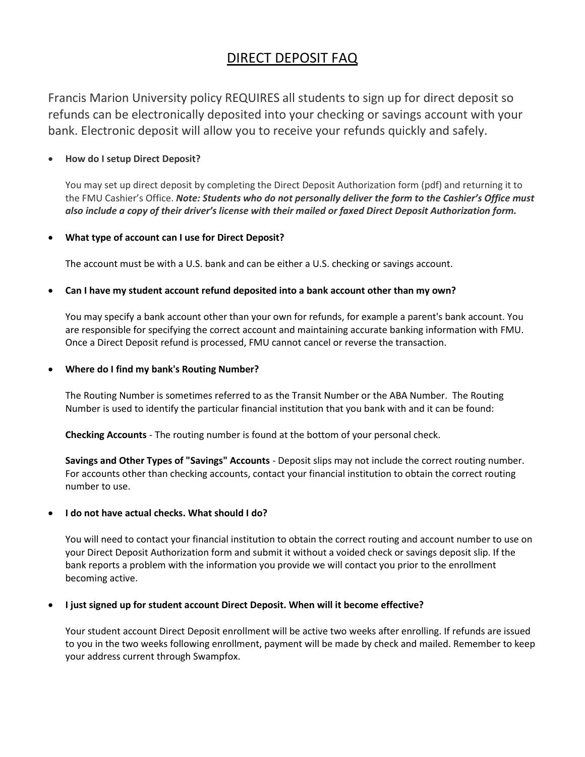# DIRECT DEPOSIT FAQ

Francis Marion University policy REQUIRES all students to sign up for direct deposit so refunds can be electronically deposited into your checking or savings account with your bank. Electronic deposit will allow you to receive your refunds quickly and safely.

# **How do I setup Direct Deposit?**

You may set up direct deposit by completing the Direct Deposit Authorization form (pdf) and returning it to the FMU Cashier's Office. *Note: Students who do not personally deliver the form to the Cashier's Office must* also include a copy of their driver's license with their mailed or faxed Direct Deposit Authorization form.

# **What type of account can I use for Direct Deposit?**

The account must be with a U.S. bank and can be either a U.S. checking or savings account.

# **Can I have my student account refund deposited into a bank account other than my own?**

You may specify a bank account other than your own for refunds, for example a parent's bank account. You are responsible for specifying the correct account and maintaining accurate banking information with FMU. Once a Direct Deposit refund is processed, FMU cannot cancel or reverse the transaction.

## **Where do I find my bank's Routing Number?**

The Routing Number is sometimes referred to as the Transit Number or the ABA Number. The Routing Number is used to identify the particular financial institution that you bank with and it can be found:

**Checking Accounts** - The routing number is found at the bottom of your personal check.

**Savings and Other Types of "Savings" Accounts** - Deposit slips may not include the correct routing number. For accounts other than checking accounts, contact your financial institution to obtain the correct routing number to use.

## **I do not have actual checks. What should I do?**

You will need to contact your financial institution to obtain the correct routing and account number to use on your Direct Deposit Authorization form and submit it without a voided check or savings deposit slip. If the bank reports a problem with the information you provide we will contact you prior to the enrollment becoming active.

## **I just signed up for student account Direct Deposit. When will it become effective?**

Your student account Direct Deposit enrollment will be active two weeks after enrolling. If refunds are issued to you in the two weeks following enrollment, payment will be made by check and mailed. Remember to keep your address current through Swampfox.